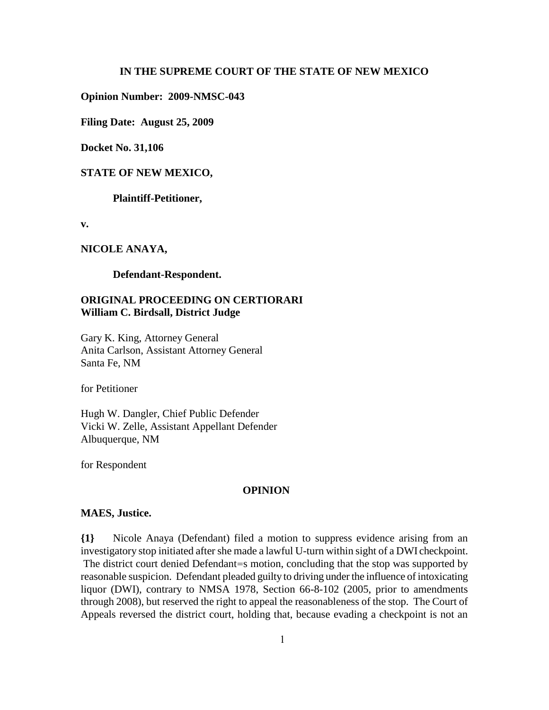#### **IN THE SUPREME COURT OF THE STATE OF NEW MEXICO**

**Opinion Number: 2009-NMSC-043**

**Filing Date: August 25, 2009**

**Docket No. 31,106**

### **STATE OF NEW MEXICO,**

**Plaintiff-Petitioner,**

**v.**

## **NICOLE ANAYA,**

#### **Defendant-Respondent.**

# **ORIGINAL PROCEEDING ON CERTIORARI William C. Birdsall, District Judge**

Gary K. King, Attorney General Anita Carlson, Assistant Attorney General Santa Fe, NM

for Petitioner

Hugh W. Dangler, Chief Public Defender Vicki W. Zelle, Assistant Appellant Defender Albuquerque, NM

for Respondent

## **OPINION**

#### **MAES, Justice.**

**{1}** Nicole Anaya (Defendant) filed a motion to suppress evidence arising from an investigatory stop initiated after she made a lawful U-turn within sight of a DWI checkpoint. The district court denied Defendant=s motion, concluding that the stop was supported by reasonable suspicion. Defendant pleaded guilty to driving under the influence of intoxicating liquor (DWI), contrary to NMSA 1978, Section 66-8-102 (2005, prior to amendments through 2008), but reserved the right to appeal the reasonableness of the stop. The Court of Appeals reversed the district court, holding that, because evading a checkpoint is not an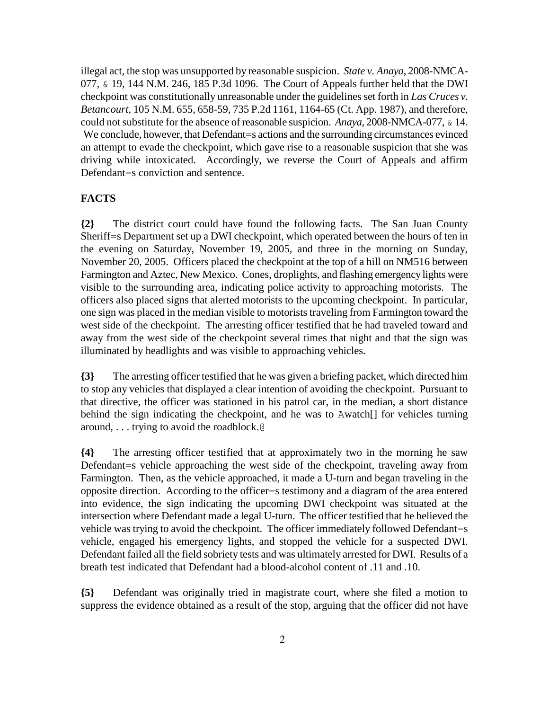illegal act, the stop was unsupported by reasonable suspicion. *State v. Anaya*, 2008-NMCA-077, & 19, 144 N.M. 246, 185 P.3d 1096. The Court of Appeals further held that the DWI checkpoint was constitutionally unreasonable under the guidelines set forth in *Las Cruces v. Betancourt*, 105 N.M. 655, 658-59, 735 P.2d 1161, 1164-65 (Ct. App. 1987), and therefore, could not substitute for the absence of reasonable suspicion. *Anaya*, 2008-NMCA-077, & 14. We conclude, however, that Defendant=s actions and the surrounding circumstances evinced an attempt to evade the checkpoint, which gave rise to a reasonable suspicion that she was driving while intoxicated. Accordingly, we reverse the Court of Appeals and affirm Defendant=s conviction and sentence.

# **FACTS**

**{2}** The district court could have found the following facts. The San Juan County Sheriff=s Department set up a DWI checkpoint, which operated between the hours of ten in the evening on Saturday, November 19, 2005, and three in the morning on Sunday, November 20, 2005. Officers placed the checkpoint at the top of a hill on NM516 between Farmington and Aztec, New Mexico. Cones, droplights, and flashing emergency lights were visible to the surrounding area, indicating police activity to approaching motorists. The officers also placed signs that alerted motorists to the upcoming checkpoint. In particular, one sign was placed in the median visible to motorists traveling from Farmington toward the west side of the checkpoint. The arresting officer testified that he had traveled toward and away from the west side of the checkpoint several times that night and that the sign was illuminated by headlights and was visible to approaching vehicles.

**{3}** The arresting officer testified that he was given a briefing packet, which directed him to stop any vehicles that displayed a clear intention of avoiding the checkpoint. Pursuant to that directive, the officer was stationed in his patrol car, in the median, a short distance behind the sign indicating the checkpoint, and he was to Awatch[] for vehicles turning around, . . . trying to avoid the roadblock.@

**{4}** The arresting officer testified that at approximately two in the morning he saw Defendant=s vehicle approaching the west side of the checkpoint, traveling away from Farmington. Then, as the vehicle approached, it made a U-turn and began traveling in the opposite direction. According to the officer=s testimony and a diagram of the area entered into evidence, the sign indicating the upcoming DWI checkpoint was situated at the intersection where Defendant made a legal U-turn. The officer testified that he believed the vehicle was trying to avoid the checkpoint. The officer immediately followed Defendant=s vehicle, engaged his emergency lights, and stopped the vehicle for a suspected DWI. Defendant failed all the field sobriety tests and was ultimately arrested for DWI. Results of a breath test indicated that Defendant had a blood-alcohol content of .11 and .10.

**{5}** Defendant was originally tried in magistrate court, where she filed a motion to suppress the evidence obtained as a result of the stop, arguing that the officer did not have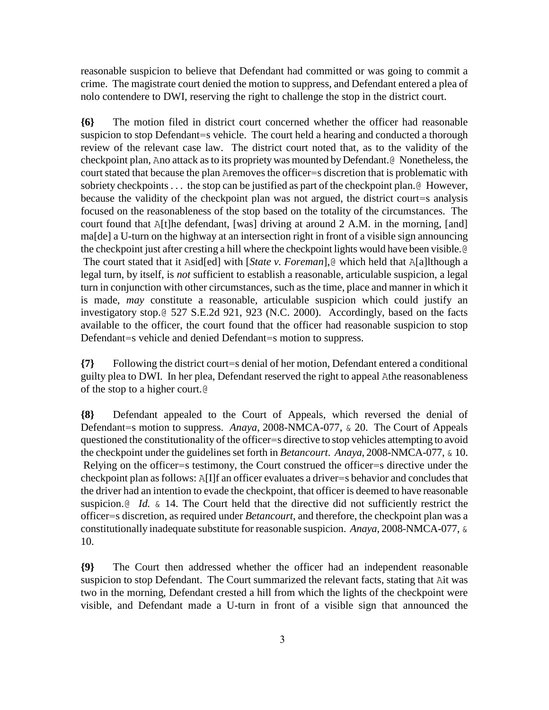reasonable suspicion to believe that Defendant had committed or was going to commit a crime. The magistrate court denied the motion to suppress, and Defendant entered a plea of nolo contendere to DWI, reserving the right to challenge the stop in the district court.

**{6}** The motion filed in district court concerned whether the officer had reasonable suspicion to stop Defendant=s vehicle. The court held a hearing and conducted a thorough review of the relevant case law. The district court noted that, as to the validity of the checkpoint plan, Ano attack as to its propriety was mounted by Defendant.@ Nonetheless, the court stated that because the plan Aremoves the officer=s discretion that is problematic with sobriety checkpoints . . . the stop can be justified as part of the checkpoint plan. @ However, because the validity of the checkpoint plan was not argued, the district court=s analysis focused on the reasonableness of the stop based on the totality of the circumstances. The court found that A[t]he defendant, [was] driving at around 2 A.M. in the morning, [and] ma[de] a U-turn on the highway at an intersection right in front of a visible sign announcing the checkpoint just after cresting a hill where the checkpoint lights would have been visible.@ The court stated that it Asid[ed] with [*State v. Foreman*],@ which held that A[a]lthough a legal turn, by itself, is *not* sufficient to establish a reasonable, articulable suspicion, a legal turn in conjunction with other circumstances, such as the time, place and manner in which it is made, *may* constitute a reasonable, articulable suspicion which could justify an investigatory stop.@ 527 S.E.2d 921, 923 (N.C. 2000). Accordingly, based on the facts available to the officer, the court found that the officer had reasonable suspicion to stop Defendant=s vehicle and denied Defendant=s motion to suppress.

**{7}** Following the district court=s denial of her motion, Defendant entered a conditional guilty plea to DWI. In her plea, Defendant reserved the right to appeal Athe reasonableness of the stop to a higher court.@

**{8}** Defendant appealed to the Court of Appeals, which reversed the denial of Defendant=s motion to suppress. *Anaya*, 2008-NMCA-077, & 20. The Court of Appeals questioned the constitutionality of the officer=s directive to stop vehicles attempting to avoid the checkpoint under the guidelines set forth in *Betancourt*. *Anaya*, 2008-NMCA-077, & 10. Relying on the officer=s testimony, the Court construed the officer=s directive under the checkpoint plan as follows: A[I]f an officer evaluates a driver=s behavior and concludes that the driver had an intention to evade the checkpoint, that officer is deemed to have reasonable suspicion.<sup>@</sup> *Id.* & 14. The Court held that the directive did not sufficiently restrict the officer=s discretion, as required under *Betancourt*, and therefore, the checkpoint plan was a constitutionally inadequate substitute for reasonable suspicion. *Anaya*, 2008-NMCA-077, & 10.

**{9}** The Court then addressed whether the officer had an independent reasonable suspicion to stop Defendant. The Court summarized the relevant facts, stating that Ait was two in the morning, Defendant crested a hill from which the lights of the checkpoint were visible, and Defendant made a U-turn in front of a visible sign that announced the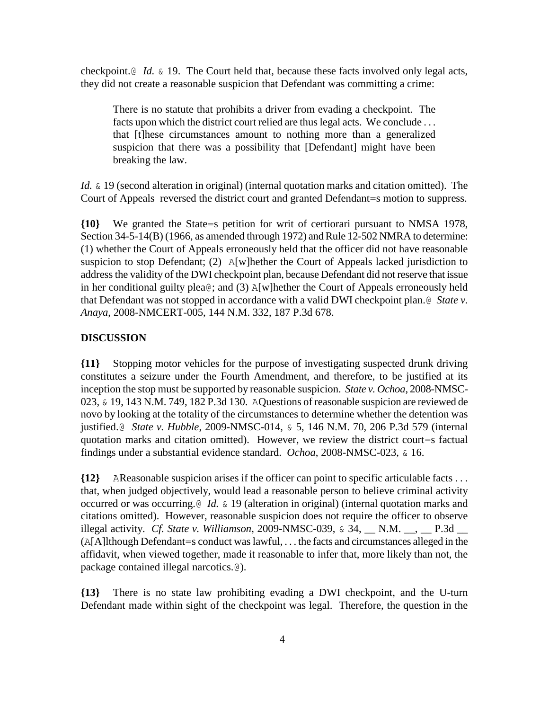checkpoint.@ *Id.* & 19. The Court held that, because these facts involved only legal acts, they did not create a reasonable suspicion that Defendant was committing a crime:

There is no statute that prohibits a driver from evading a checkpoint. The facts upon which the district court relied are thus legal acts. We conclude . . . that [t]hese circumstances amount to nothing more than a generalized suspicion that there was a possibility that [Defendant] might have been breaking the law.

*Id.* & 19 (second alteration in original) (internal quotation marks and citation omitted). The Court of Appeals reversed the district court and granted Defendant=s motion to suppress.

**{10}** We granted the State=s petition for writ of certiorari pursuant to NMSA 1978, Section 34-5-14(B) (1966, as amended through 1972) and Rule 12-502 NMRA to determine: (1) whether the Court of Appeals erroneously held that the officer did not have reasonable suspicion to stop Defendant; (2) A[w]hether the Court of Appeals lacked jurisdiction to address the validity of the DWI checkpoint plan, because Defendant did not reserve that issue in her conditional guilty plea@; and (3) A[w]hether the Court of Appeals erroneously held that Defendant was not stopped in accordance with a valid DWI checkpoint plan.@ *State v. Anaya*, 2008-NMCERT-005, 144 N.M. 332, 187 P.3d 678.

## **DISCUSSION**

**{11}** Stopping motor vehicles for the purpose of investigating suspected drunk driving constitutes a seizure under the Fourth Amendment, and therefore, to be justified at its inception the stop must be supported by reasonable suspicion. *State v. Ochoa*, 2008-NMSC-023, & 19, 143 N.M. 749, 182 P.3d 130. AQuestions of reasonable suspicion are reviewed de novo by looking at the totality of the circumstances to determine whether the detention was justified.@ *State v. Hubble*, 2009-NMSC-014, & 5, 146 N.M. 70, 206 P.3d 579 (internal quotation marks and citation omitted). However, we review the district court=s factual findings under a substantial evidence standard. *Ochoa*, 2008-NMSC-023, & 16.

**{12}** AReasonable suspicion arises if the officer can point to specific articulable facts . . . that, when judged objectively, would lead a reasonable person to believe criminal activity occurred or was occurring.@ *Id.* & 19 (alteration in original) (internal quotation marks and citations omitted). However, reasonable suspicion does not require the officer to observe illegal activity. *Cf. State v. Williamson*, 2009-NMSC-039, & 34, N.M. , P.3d (A[A]lthough Defendant=s conduct was lawful, . . . the facts and circumstances alleged in the affidavit, when viewed together, made it reasonable to infer that, more likely than not, the package contained illegal narcotics.@).

**{13}** There is no state law prohibiting evading a DWI checkpoint, and the U-turn Defendant made within sight of the checkpoint was legal. Therefore, the question in the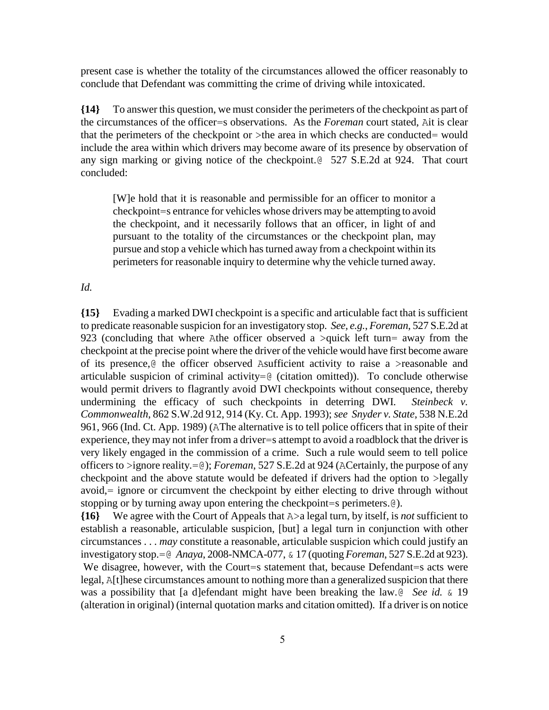present case is whether the totality of the circumstances allowed the officer reasonably to conclude that Defendant was committing the crime of driving while intoxicated.

**{14}** To answer this question, we must consider the perimeters of the checkpoint as part of the circumstances of the officer=s observations. As the *Foreman* court stated, Ait is clear that the perimeters of the checkpoint or >the area in which checks are conducted= would include the area within which drivers may become aware of its presence by observation of any sign marking or giving notice of the checkpoint.@ 527 S.E.2d at 924. That court concluded:

[W]e hold that it is reasonable and permissible for an officer to monitor a checkpoint=s entrance for vehicles whose drivers may be attempting to avoid the checkpoint, and it necessarily follows that an officer, in light of and pursuant to the totality of the circumstances or the checkpoint plan, may pursue and stop a vehicle which has turned away from a checkpoint within its perimeters for reasonable inquiry to determine why the vehicle turned away.

*Id.*

**{15}** Evading a marked DWI checkpoint is a specific and articulable fact that is sufficient to predicate reasonable suspicion for an investigatory stop. *See, e.g.*, *Foreman*, 527 S.E.2d at 923 (concluding that where Athe officer observed a >quick left turn= away from the checkpoint at the precise point where the driver of the vehicle would have first become aware of its presence,  $\&$  the officer observed Asufficient activity to raise a >reasonable and articulable suspicion of criminal activity= $@$  (citation omitted)). To conclude otherwise would permit drivers to flagrantly avoid DWI checkpoints without consequence, thereby undermining the efficacy of such checkpoints in deterring DWI. *Steinbeck v. Commonwealth*, 862 S.W.2d 912, 914 (Ky. Ct. App. 1993); *see Snyder v. State*, 538 N.E.2d 961, 966 (Ind. Ct. App. 1989) (AThe alternative is to tell police officers that in spite of their experience, they may not infer from a driver=s attempt to avoid a roadblock that the driver is very likely engaged in the commission of a crime. Such a rule would seem to tell police officers to >ignore reality.=@); *Foreman*, 527 S.E.2d at 924 (ACertainly, the purpose of any checkpoint and the above statute would be defeated if drivers had the option to >legally avoid,= ignore or circumvent the checkpoint by either electing to drive through without stopping or by turning away upon entering the checkpoint=s perimeters.@).

**{16}** We agree with the Court of Appeals that A>a legal turn, by itself, is *not* sufficient to establish a reasonable, articulable suspicion, [but] a legal turn in conjunction with other circumstances . . . *may* constitute a reasonable, articulable suspicion which could justify an investigatory stop.=@ *Anaya*, 2008-NMCA-077, & 17 (quoting *Foreman*, 527 S.E.2d at 923). We disagree, however, with the Court=s statement that, because Defendant=s acts were legal, A[t]hese circumstances amount to nothing more than a generalized suspicion that there was a possibility that [a d]efendant might have been breaking the law. *§ See id.* & 19 (alteration in original) (internal quotation marks and citation omitted). If a driver is on notice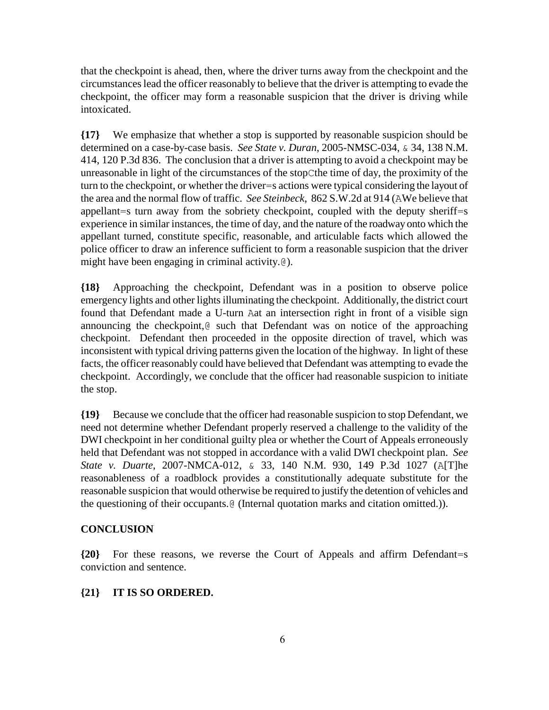that the checkpoint is ahead, then, where the driver turns away from the checkpoint and the circumstances lead the officer reasonably to believe that the driver is attempting to evade the checkpoint, the officer may form a reasonable suspicion that the driver is driving while intoxicated.

**{17}** We emphasize that whether a stop is supported by reasonable suspicion should be determined on a case-by-case basis. *See State v. Duran*, 2005-NMSC-034, & 34, 138 N.M. 414, 120 P.3d 836. The conclusion that a driver is attempting to avoid a checkpoint may be unreasonable in light of the circumstances of the stopCthe time of day, the proximity of the turn to the checkpoint, or whether the driver=s actions were typical considering the layout of the area and the normal flow of traffic. *See Steinbeck*, 862 S.W.2d at 914 (AWe believe that appellant=s turn away from the sobriety checkpoint, coupled with the deputy sheriff=s experience in similar instances, the time of day, and the nature of the roadway onto which the appellant turned, constitute specific, reasonable, and articulable facts which allowed the police officer to draw an inference sufficient to form a reasonable suspicion that the driver might have been engaging in criminal activity.@).

**{18}** Approaching the checkpoint, Defendant was in a position to observe police emergency lights and other lights illuminating the checkpoint. Additionally, the district court found that Defendant made a U-turn Aat an intersection right in front of a visible sign announcing the checkpoint,@ such that Defendant was on notice of the approaching checkpoint. Defendant then proceeded in the opposite direction of travel, which was inconsistent with typical driving patterns given the location of the highway. In light of these facts, the officer reasonably could have believed that Defendant was attempting to evade the checkpoint. Accordingly, we conclude that the officer had reasonable suspicion to initiate the stop.

**{19}** Because we conclude that the officer had reasonable suspicion to stop Defendant, we need not determine whether Defendant properly reserved a challenge to the validity of the DWI checkpoint in her conditional guilty plea or whether the Court of Appeals erroneously held that Defendant was not stopped in accordance with a valid DWI checkpoint plan. *See State v. Duarte*, 2007-NMCA-012, & 33, 140 N.M. 930, 149 P.3d 1027 (A[T]he reasonableness of a roadblock provides a constitutionally adequate substitute for the reasonable suspicion that would otherwise be required to justify the detention of vehicles and the questioning of their occupants.@ (Internal quotation marks and citation omitted.)).

# **CONCLUSION**

**{20}** For these reasons, we reverse the Court of Appeals and affirm Defendant=s conviction and sentence.

## **{21} IT IS SO ORDERED.**